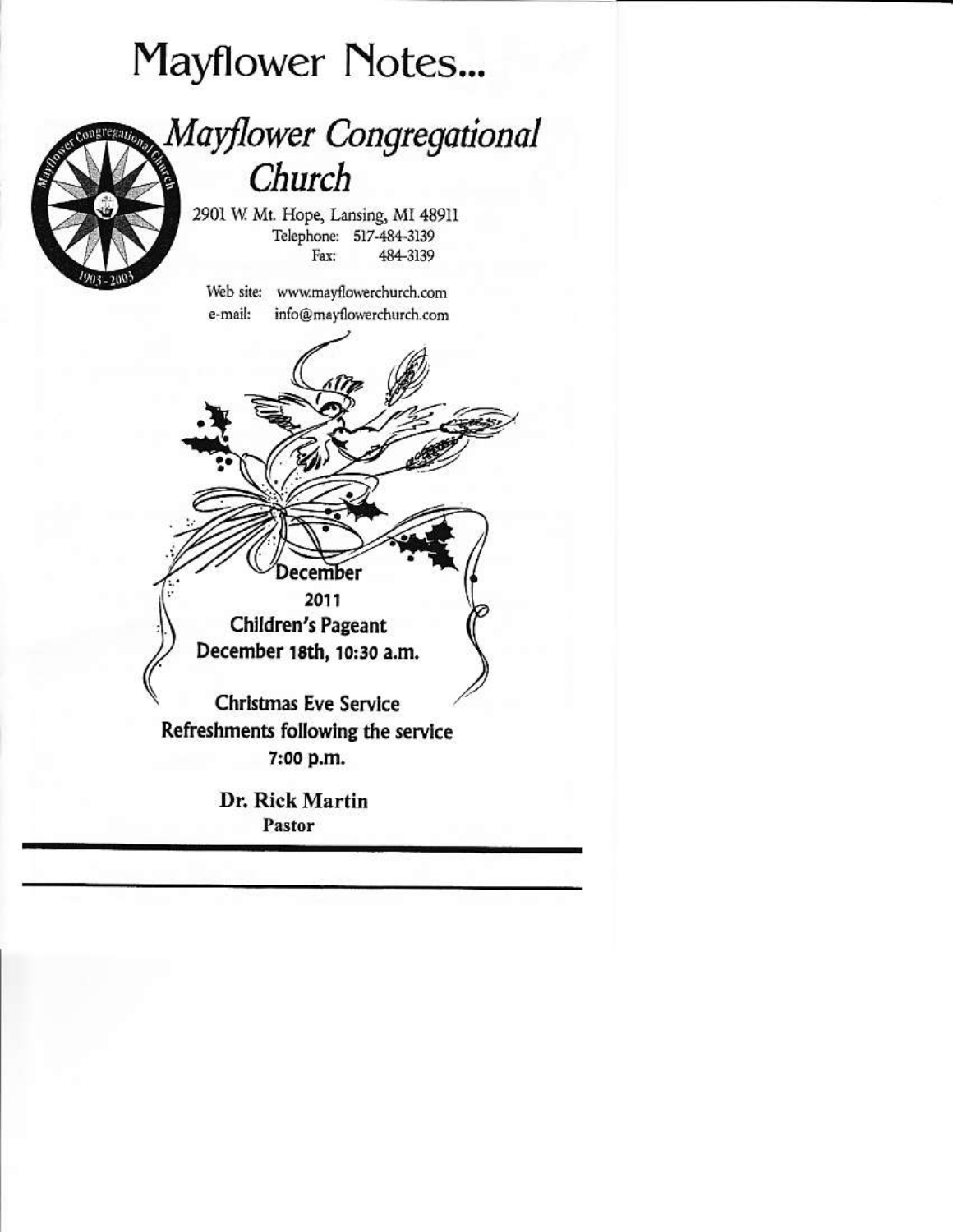# Mayflower Notes...

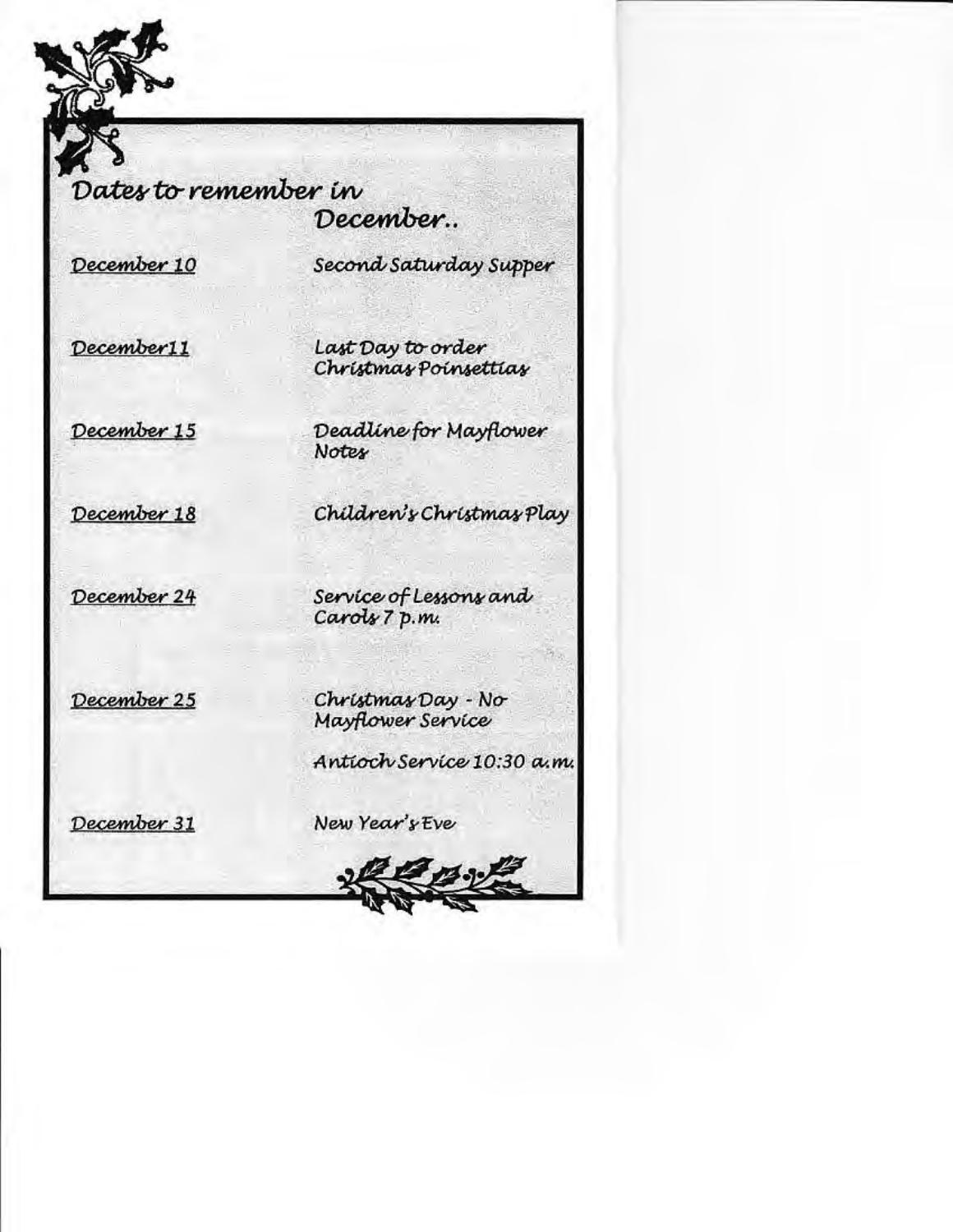Dates to remember in

December..

December 10

Second Saturday Supper

December11

Last Day to order Christmas Poinsettias

December 15

December 18

Deadline for Mayflower **Notes** 

Children's Christmas Play

December 24

Service of Lessons and Carols 7 p.m.

December 25

Christmas Day - No Mayflower Service

Antioch Service 10:30 a.m.

 $73.39$ 

December 31

New Year's Eve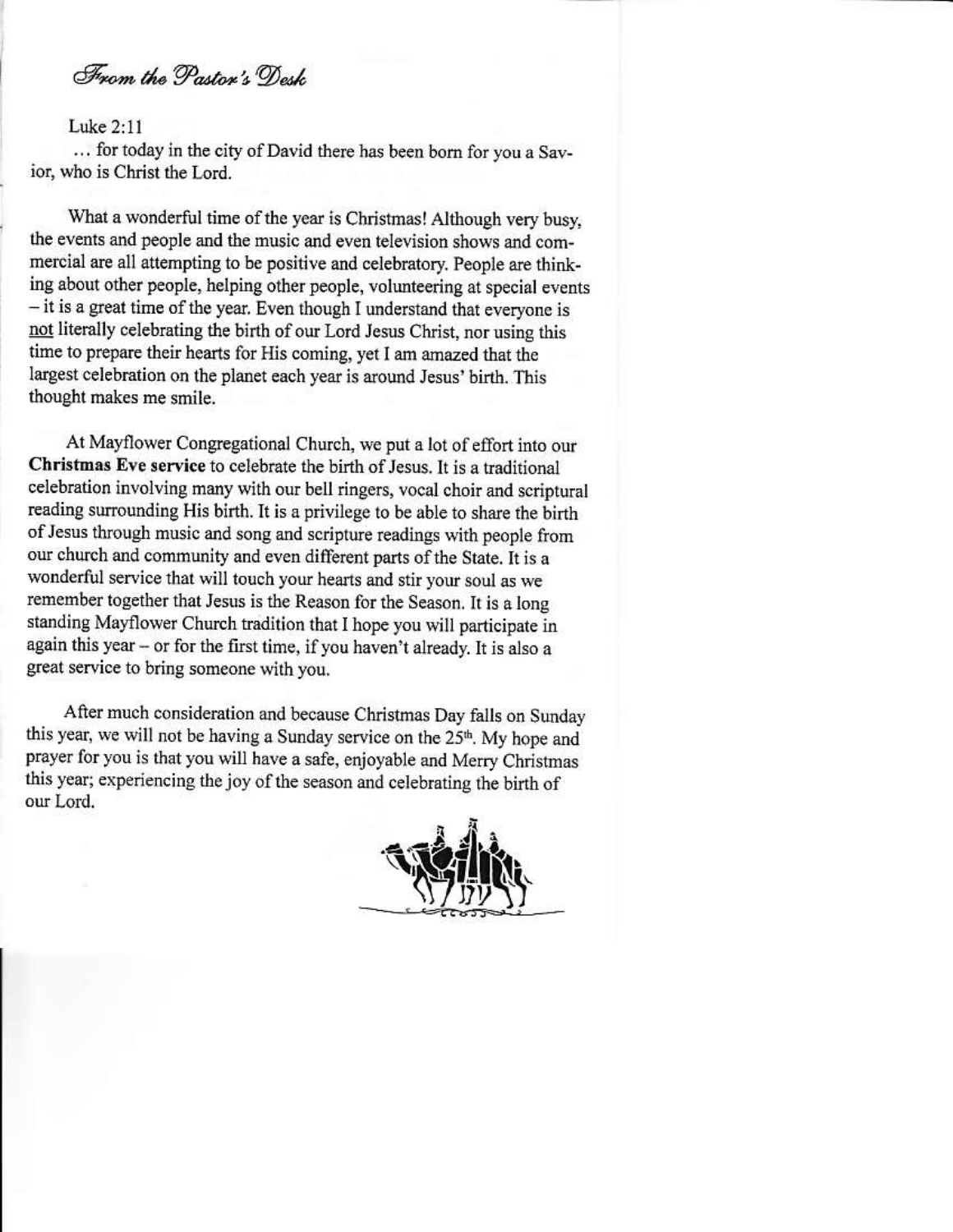From the Paston's Dork

### Luke 2:11

... for today in the city of David there has been born for you a Savior, who is Christ the Lord.

What a wonderful time of the year is Christmas! Although very busy, the events and people and the music and even television shows and commercial are all attempting to be positive and celebratory. People are thinking about other people, helping other people, volunteering at special events - it is a great time of the year. Even though I understand that everyone is not literally celebrating the birth of our Lord Jesus Christ, nor using this time to prepare their hearts for His coming, yet I am amazed that the largest celebration on the planet each year is around Jesus' birth. This thought makes me smile.

At Mayflower Congregational Church, we put a lot of effort into our Christmas Eve service to celebrate the birth of Jesus. It is a traditional celebration involving many with our bell ringers, vocal choir and scriptural reading surrounding His birth. It is a privilege to be able to share the birth of Jesus through music and song and scripture readings with people from our church and community and even different parts of the State. It is a wonderful service that will touch your hearts and stir your soul as we remember together that Jesus is the Reason for the Season. It is a long standing Mayflower Church tradition that I hope you will participate in again this year - or for the first time, if you haven't already. It is also a great service to bring someone with you.

After much consideration and because Christmas Day falls on Sunday this year, we will not be having a Sunday service on the 25<sup>th</sup>. My hope and prayer for you is that you will have a safe, enjoyable and Merry Christmas this year; experiencing the joy of the season and celebrating the birth of our Lord.

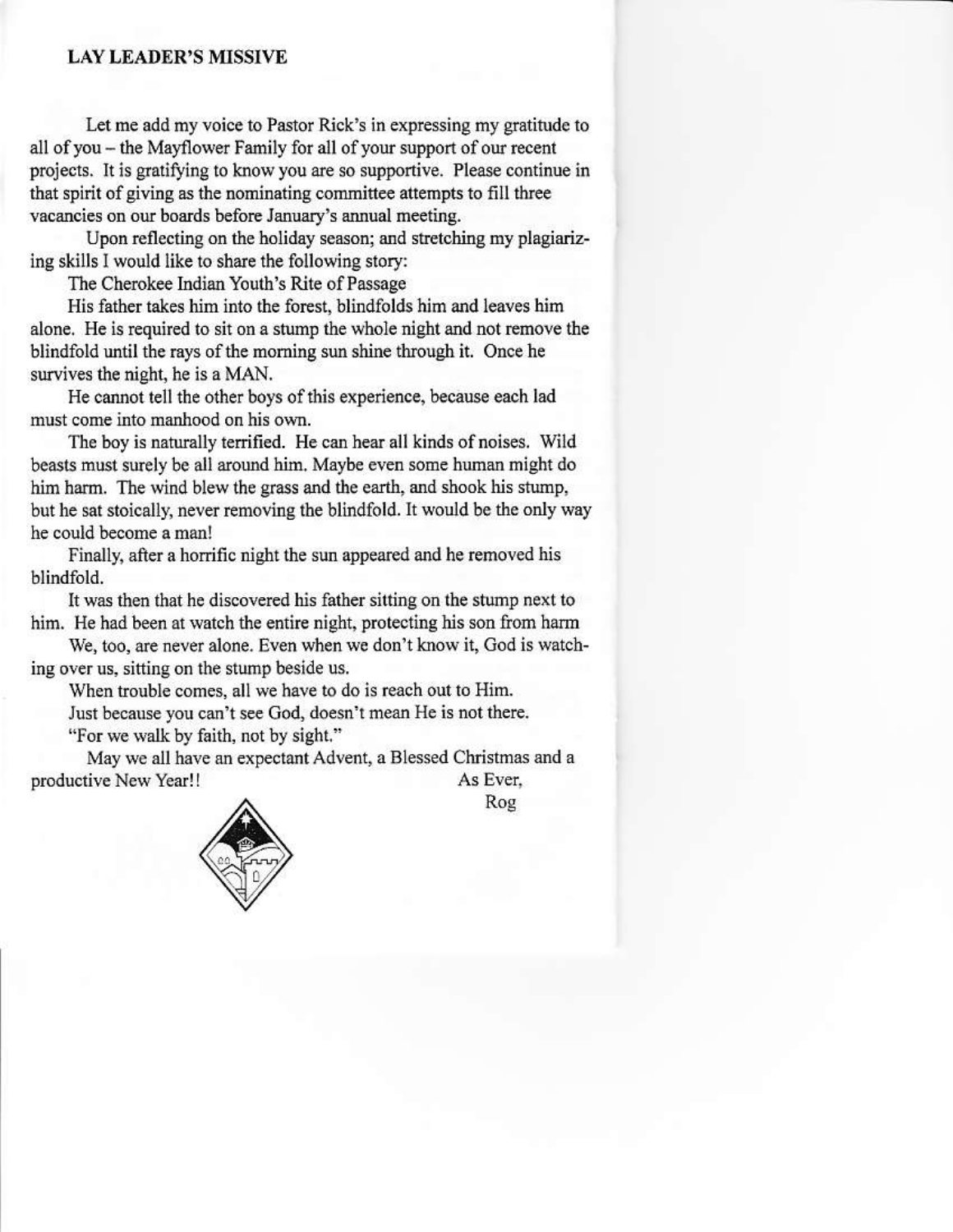### **LAY LEADER'S MISSIVE**

Let me add my voice to Pastor Rick's in expressing my gratitude to all of you - the Mayflower Family for all of your support of our recent projects. It is gratifying to know you are so supportive. Please continue in that spirit of giving as the nominating committee attempts to fill three vacancies on our boards before January's annual meeting.

Upon reflecting on the holiday season; and stretching my plagiarizing skills I would like to share the following story:

The Cherokee Indian Youth's Rite of Passage

His father takes him into the forest, blindfolds him and leaves him alone. He is required to sit on a stump the whole night and not remove the blindfold until the rays of the morning sun shine through it. Once he survives the night, he is a MAN.

He cannot tell the other boys of this experience, because each lad must come into manhood on his own.

The boy is naturally terrified. He can hear all kinds of noises. Wild beasts must surely be all around him. Maybe even some human might do him harm. The wind blew the grass and the earth, and shook his stump, but he sat stoically, never removing the blindfold. It would be the only way he could become a man!

Finally, after a horrific night the sun appeared and he removed his blindfold.

It was then that he discovered his father sitting on the stump next to him. He had been at watch the entire night, protecting his son from harm

We, too, are never alone. Even when we don't know it, God is watching over us, sitting on the stump beside us.

When trouble comes, all we have to do is reach out to Him.

Just because you can't see God, doesn't mean He is not there.

"For we walk by faith, not by sight."

May we all have an expectant Advent, a Blessed Christmas and a productive New Year!! As Ever.



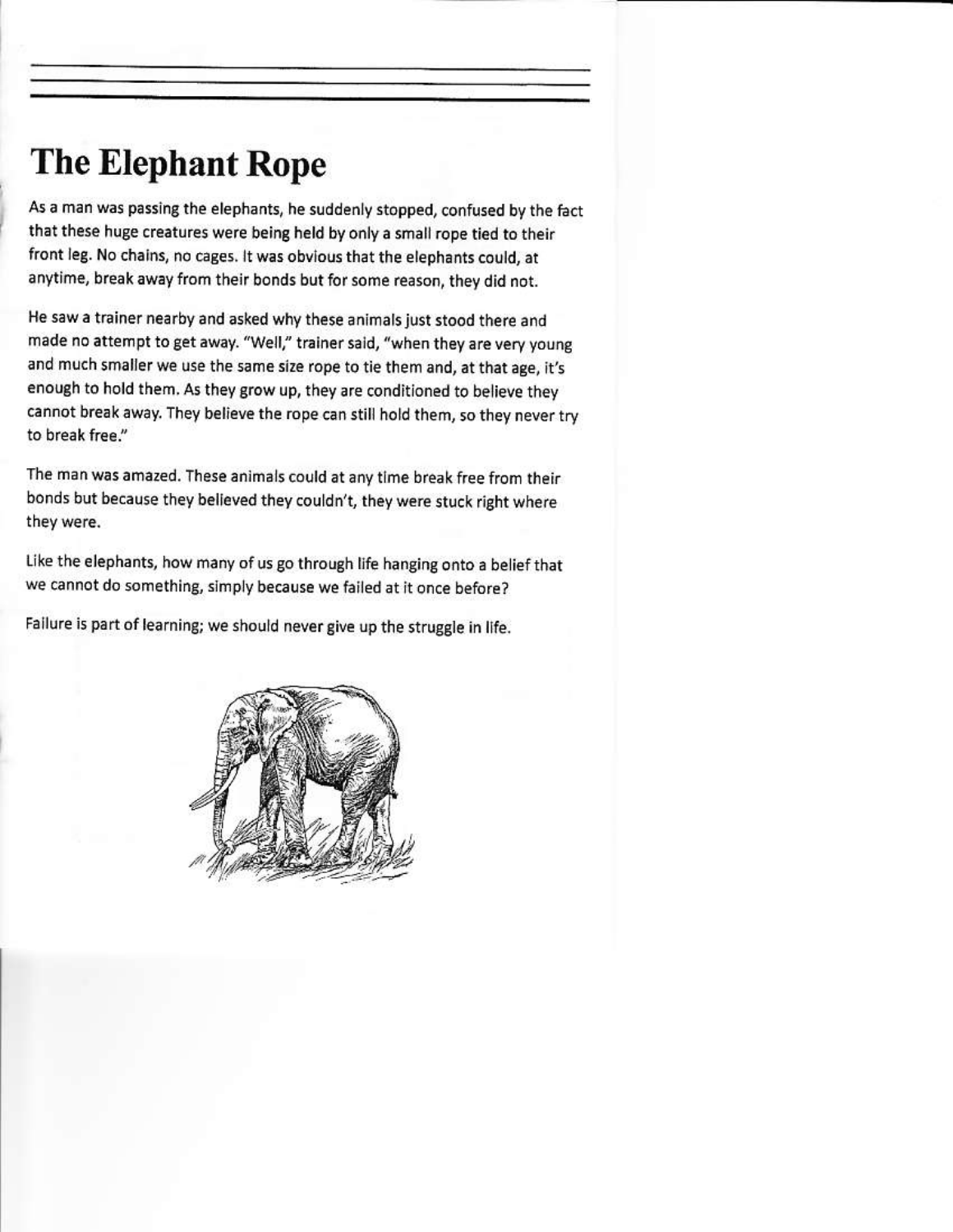## **The Elephant Rope**

As a man was passing the elephants, he suddenly stopped, confused by the fact that these huge creatures were being held by only a small rope tied to their front leg. No chains, no cages. It was obvious that the elephants could, at anytime, break away from their bonds but for some reason, they did not.

He saw a trainer nearby and asked why these animals just stood there and made no attempt to get away. "Well," trainer said, "when they are very young and much smaller we use the same size rope to tie them and, at that age, it's enough to hold them. As they grow up, they are conditioned to believe they cannot break away. They believe the rope can still hold them, so they never try to break free."

The man was amazed. These animals could at any time break free from their bonds but because they believed they couldn't, they were stuck right where they were.

Like the elephants, how many of us go through life hanging onto a belief that we cannot do something, simply because we failed at it once before?

Failure is part of learning; we should never give up the struggle in life.

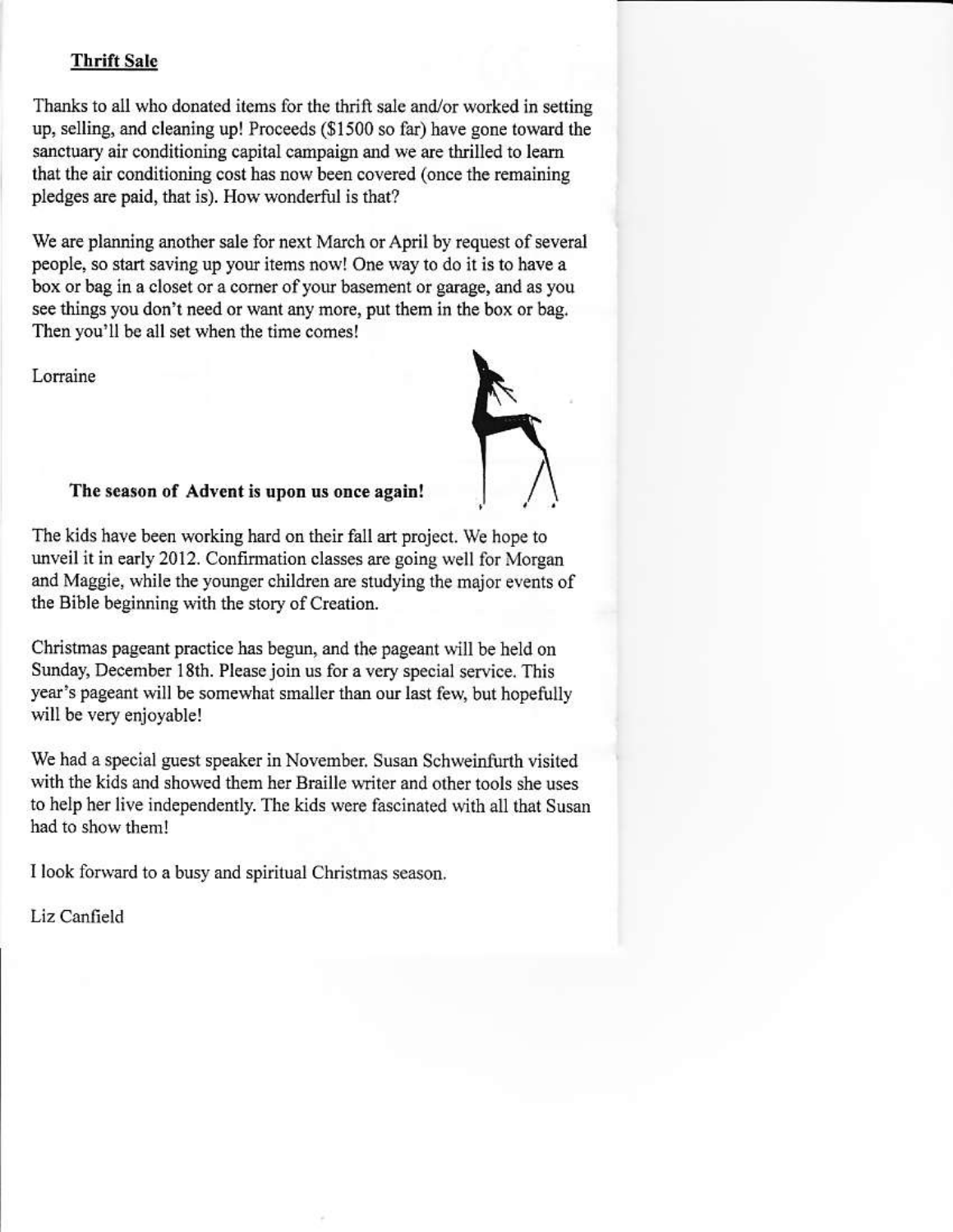### **Thrift Sale**

Thanks to all who donated items for the thrift sale and/or worked in setting up, selling, and cleaning up! Proceeds (\$1500 so far) have gone toward the sanctuary air conditioning capital campaign and we are thrilled to learn that the air conditioning cost has now been covered (once the remaining pledges are paid, that is). How wonderful is that?

We are planning another sale for next March or April by request of several people, so start saving up your items now! One way to do it is to have a box or bag in a closet or a corner of your basement or garage, and as you see things you don't need or want any more, put them in the box or bag. Then you'll be all set when the time comes!

Lorraine



### The season of Advent is upon us once again!

The kids have been working hard on their fall art project. We hope to unveil it in early 2012. Confirmation classes are going well for Morgan and Maggie, while the younger children are studying the major events of the Bible beginning with the story of Creation.

Christmas pageant practice has begun, and the pageant will be held on Sunday, December 18th. Please join us for a very special service. This year's pageant will be somewhat smaller than our last few, but hopefully will be very enjoyable!

We had a special guest speaker in November, Susan Schweinfurth visited with the kids and showed them her Braille writer and other tools she uses to help her live independently. The kids were fascinated with all that Susan had to show them!

I look forward to a busy and spiritual Christmas season.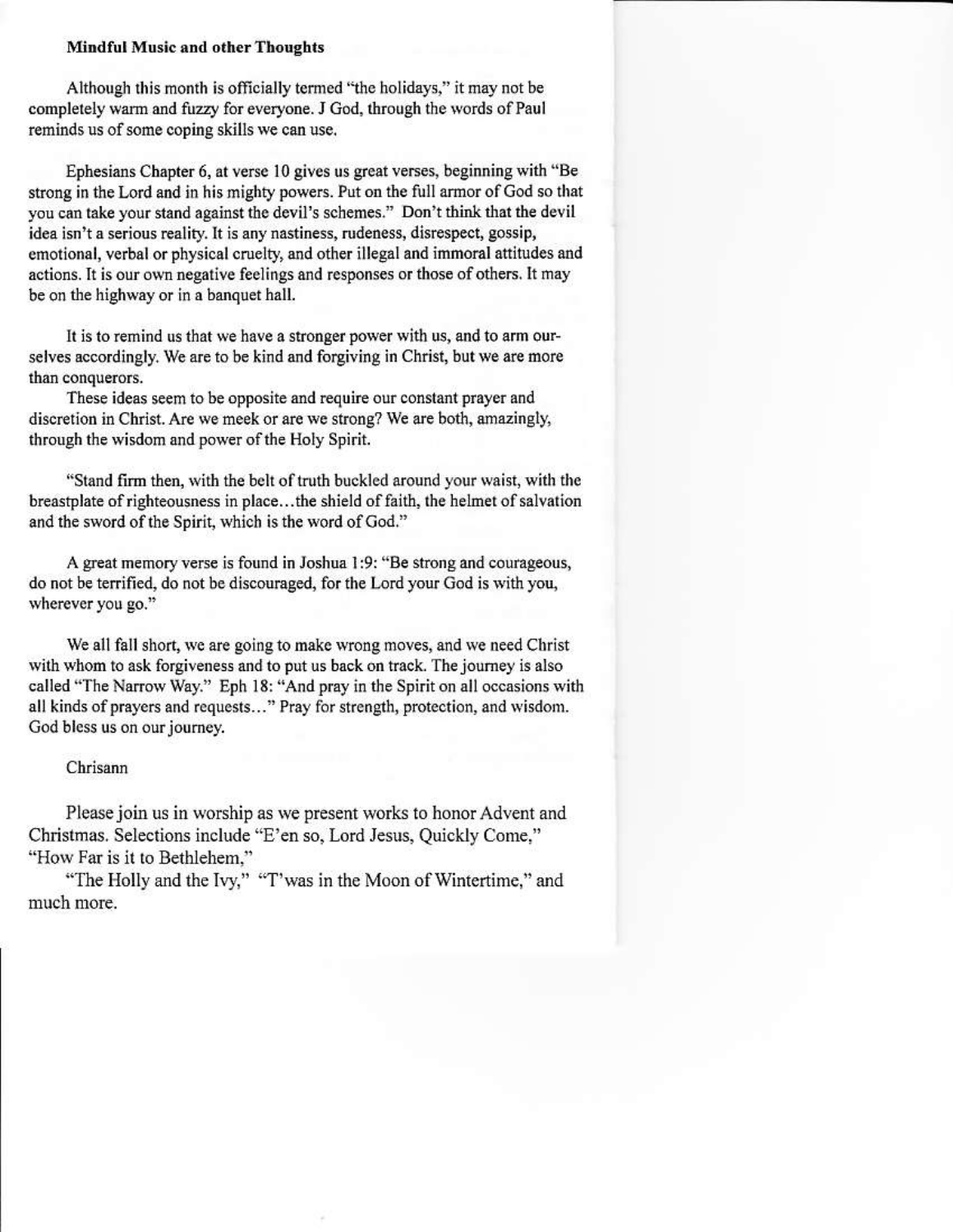### **Mindful Music and other Thoughts**

Although this month is officially termed "the holidays," it may not be completely warm and fuzzy for everyone. J God, through the words of Paul reminds us of some coping skills we can use.

Ephesians Chapter 6, at verse 10 gives us great verses, beginning with "Be strong in the Lord and in his mighty powers. Put on the full armor of God so that you can take your stand against the devil's schemes." Don't think that the devil idea isn't a serious reality. It is any nastiness, rudeness, disrespect, gossip, emotional, verbal or physical cruelty, and other illegal and immoral attitudes and actions. It is our own negative feelings and responses or those of others. It may be on the highway or in a banquet hall.

It is to remind us that we have a stronger power with us, and to arm ourselves accordingly. We are to be kind and forgiving in Christ, but we are more than conquerors.

These ideas seem to be opposite and require our constant prayer and discretion in Christ. Are we meek or are we strong? We are both, amazingly, through the wisdom and power of the Holy Spirit.

"Stand firm then, with the belt of truth buckled around your waist, with the breastplate of righteousness in place...the shield of faith, the helmet of salvation and the sword of the Spirit, which is the word of God."

A great memory verse is found in Joshua 1:9: "Be strong and courageous, do not be terrified, do not be discouraged, for the Lord your God is with you, wherever you go."

We all fall short, we are going to make wrong moves, and we need Christ with whom to ask forgiveness and to put us back on track. The journey is also called "The Narrow Way." Eph 18: "And pray in the Spirit on all occasions with all kinds of prayers and requests..." Pray for strength, protection, and wisdom. God bless us on our journey.

### Chrisann

Please join us in worship as we present works to honor Advent and Christmas. Selections include "E'en so, Lord Jesus, Quickly Come," "How Far is it to Bethlehem."

"The Holly and the Ivy," "T'was in the Moon of Wintertime," and much more.